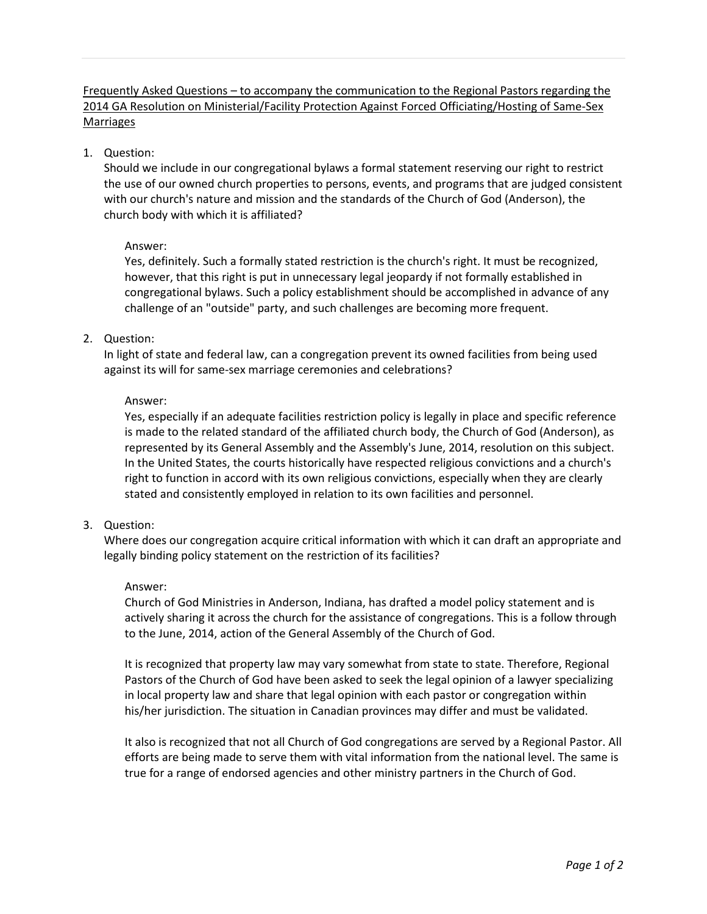Frequently Asked Questions – to accompany the communication to the Regional Pastors regarding the 2014 GA Resolution on Ministerial/Facility Protection Against Forced Officiating/Hosting of Same-Sex Marriages

1. Question:

Should we include in our congregational bylaws a formal statement reserving our right to restrict the use of our owned church properties to persons, events, and programs that are judged consistent with our church's nature and mission and the standards of the Church of God (Anderson), the church body with which it is affiliated?

# Answer:

Yes, definitely. Such a formally stated restriction is the church's right. It must be recognized, however, that this right is put in unnecessary legal jeopardy if not formally established in congregational bylaws. Such a policy establishment should be accomplished in advance of any challenge of an "outside" party, and such challenges are becoming more frequent.

2. Question:

In light of state and federal law, can a congregation prevent its owned facilities from being used against its will for same-sex marriage ceremonies and celebrations?

# Answer:

Yes, especially if an adequate facilities restriction policy is legally in place and specific reference is made to the related standard of the affiliated church body, the Church of God (Anderson), as represented by its General Assembly and the Assembly's June, 2014, resolution on this subject. In the United States, the courts historically have respected religious convictions and a church's right to function in accord with its own religious convictions, especially when they are clearly stated and consistently employed in relation to its own facilities and personnel.

3. Question:

Where does our congregation acquire critical information with which it can draft an appropriate and legally binding policy statement on the restriction of its facilities?

### Answer:

Church of God Ministries in Anderson, Indiana, has drafted a model policy statement and is actively sharing it across the church for the assistance of congregations. This is a follow through to the June, 2014, action of the General Assembly of the Church of God.

It is recognized that property law may vary somewhat from state to state. Therefore, Regional Pastors of the Church of God have been asked to seek the legal opinion of a lawyer specializing in local property law and share that legal opinion with each pastor or congregation within his/her jurisdiction. The situation in Canadian provinces may differ and must be validated.

It also is recognized that not all Church of God congregations are served by a Regional Pastor. All efforts are being made to serve them with vital information from the national level. The same is true for a range of endorsed agencies and other ministry partners in the Church of God.